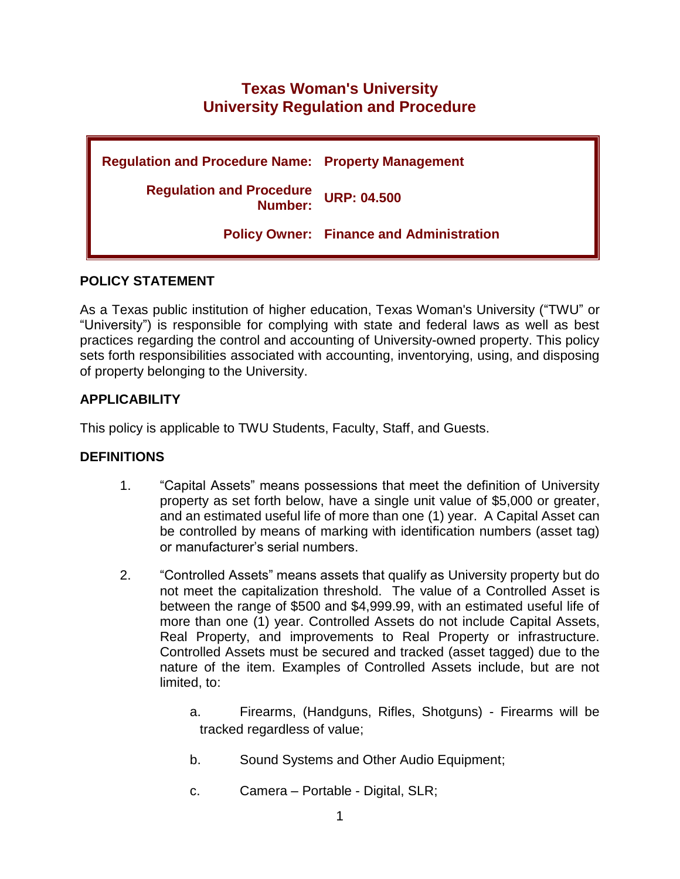# **Texas Woman's University University Regulation and Procedure**

| <b>Regulation and Procedure Name: Property Management</b> |                                                 |
|-----------------------------------------------------------|-------------------------------------------------|
| <b>Regulation and Procedure</b><br>Number:                | <b>URP: 04.500</b>                              |
|                                                           | <b>Policy Owner: Finance and Administration</b> |

## **POLICY STATEMENT**

As a Texas public institution of higher education, Texas Woman's University ("TWU" or "University") is responsible for complying with state and federal laws as well as best practices regarding the control and accounting of University-owned property. This policy sets forth responsibilities associated with accounting, inventorying, using, and disposing of property belonging to the University.

# **APPLICABILITY**

This policy is applicable to TWU Students, Faculty, Staff, and Guests.

# **DEFINITIONS**

- 1. "Capital Assets" means possessions that meet the definition of University property as set forth below, have a single unit value of \$5,000 or greater, and an estimated useful life of more than one (1) year. A Capital Asset can be controlled by means of marking with identification numbers (asset tag) or manufacturer's serial numbers.
- 2. "Controlled Assets" means assets that qualify as University property but do not meet the capitalization threshold. The value of a Controlled Asset is between the range of \$500 and \$4,999.99, with an estimated useful life of more than one (1) year. Controlled Assets do not include Capital Assets, Real Property, and improvements to Real Property or infrastructure. Controlled Assets must be secured and tracked (asset tagged) due to the nature of the item. Examples of Controlled Assets include, but are not limited, to:
	- a. Firearms, (Handguns, Rifles, Shotguns) Firearms will be tracked regardless of value;
	- b. Sound Systems and Other Audio Equipment;
	- c. Camera Portable Digital, SLR;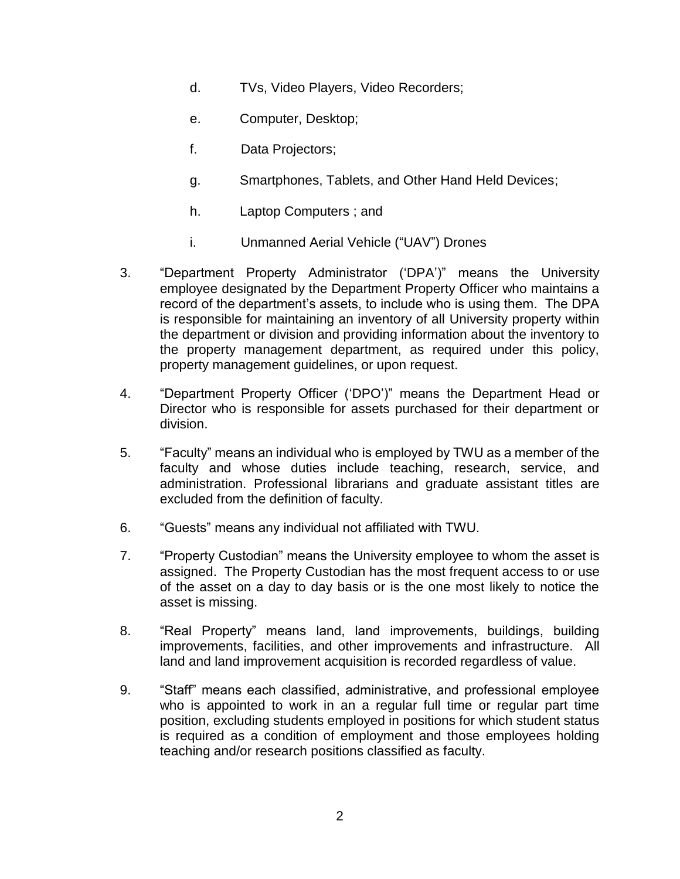- d. TVs, Video Players, Video Recorders;
- e. Computer, Desktop;
- f. Data Projectors;
- g. Smartphones, Tablets, and Other Hand Held Devices;
- h. Laptop Computers ; and
- i. Unmanned Aerial Vehicle ("UAV") Drones
- 3. "Department Property Administrator ('DPA')" means the University employee designated by the Department Property Officer who maintains a record of the department's assets, to include who is using them. The DPA is responsible for maintaining an inventory of all University property within the department or division and providing information about the inventory to the property management department, as required under this policy, property management guidelines, or upon request.
- 4. "Department Property Officer ('DPO')" means the Department Head or Director who is responsible for assets purchased for their department or division.
- 5. "Faculty" means an individual who is employed by TWU as a member of the faculty and whose duties include teaching, research, service, and administration. Professional librarians and graduate assistant titles are excluded from the definition of faculty.
- 6. "Guests" means any individual not affiliated with TWU.
- 7. "Property Custodian" means the University employee to whom the asset is assigned. The Property Custodian has the most frequent access to or use of the asset on a day to day basis or is the one most likely to notice the asset is missing.
- 8. "Real Property" means land, land improvements, buildings, building improvements, facilities, and other improvements and infrastructure. All land and land improvement acquisition is recorded regardless of value.
- 9. "Staff" means each classified, administrative, and professional employee who is appointed to work in an a regular full time or regular part time position, excluding students employed in positions for which student status is required as a condition of employment and those employees holding teaching and/or research positions classified as faculty.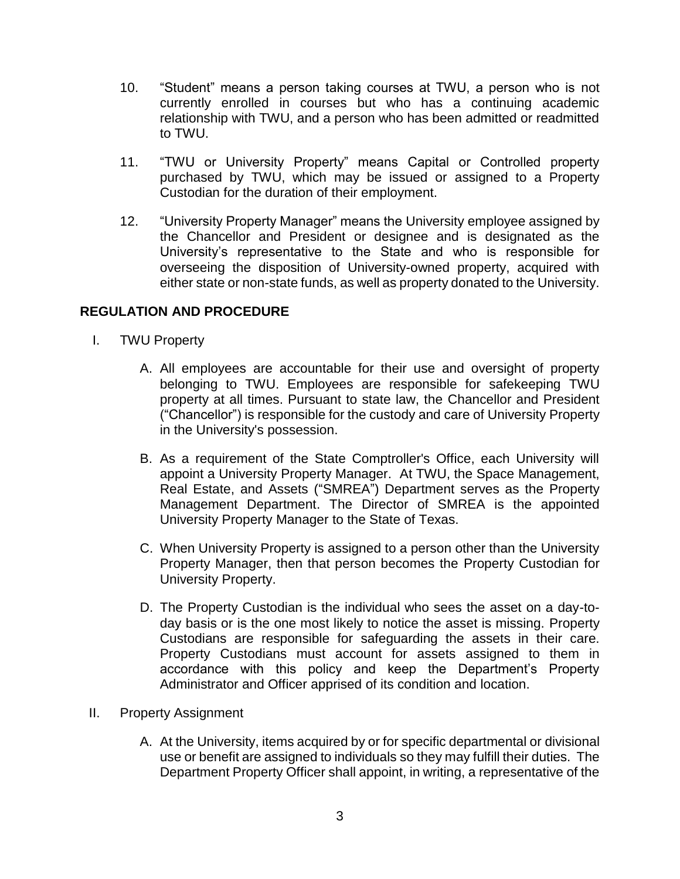- 10. "Student" means a person taking courses at TWU, a person who is not currently enrolled in courses but who has a continuing academic relationship with TWU, and a person who has been admitted or readmitted to TWU.
- 11. "TWU or University Property" means Capital or Controlled property purchased by TWU, which may be issued or assigned to a Property Custodian for the duration of their employment.
- 12. "University Property Manager" means the University employee assigned by the Chancellor and President or designee and is designated as the University's representative to the State and who is responsible for overseeing the disposition of University-owned property, acquired with either state or non-state funds, as well as property donated to the University.

## **REGULATION AND PROCEDURE**

- I. TWU Property
	- A. All employees are accountable for their use and oversight of property belonging to TWU. Employees are responsible for safekeeping TWU property at all times. Pursuant to state law, the Chancellor and President ("Chancellor") is responsible for the custody and care of University Property in the University's possession.
	- B. As a requirement of the State Comptroller's Office, each University will appoint a University Property Manager. At TWU, the Space Management, Real Estate, and Assets ("SMREA") Department serves as the Property Management Department. The Director of SMREA is the appointed University Property Manager to the State of Texas.
	- C. When University Property is assigned to a person other than the University Property Manager, then that person becomes the Property Custodian for University Property.
	- D. The Property Custodian is the individual who sees the asset on a day-today basis or is the one most likely to notice the asset is missing. Property Custodians are responsible for safeguarding the assets in their care. Property Custodians must account for assets assigned to them in accordance with this policy and keep the Department's Property Administrator and Officer apprised of its condition and location.
- II. Property Assignment
	- A. At the University, items acquired by or for specific departmental or divisional use or benefit are assigned to individuals so they may fulfill their duties. The Department Property Officer shall appoint, in writing, a representative of the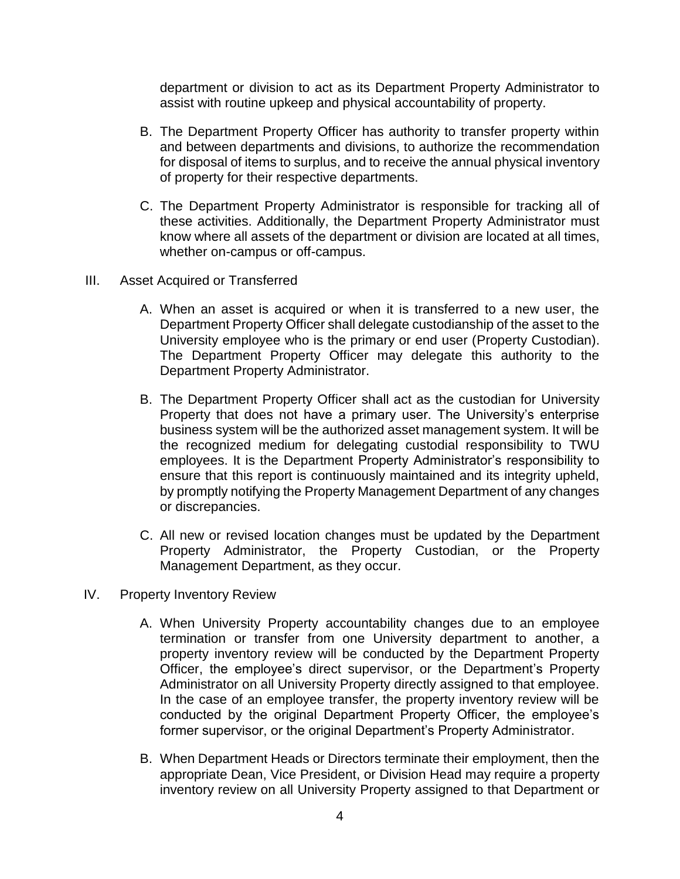department or division to act as its Department Property Administrator to assist with routine upkeep and physical accountability of property.

- B. The Department Property Officer has authority to transfer property within and between departments and divisions, to authorize the recommendation for disposal of items to surplus, and to receive the annual physical inventory of property for their respective departments.
- C. The Department Property Administrator is responsible for tracking all of these activities. Additionally, the Department Property Administrator must know where all assets of the department or division are located at all times, whether on-campus or off-campus.
- III. Asset Acquired or Transferred
	- A. When an asset is acquired or when it is transferred to a new user, the Department Property Officer shall delegate custodianship of the asset to the University employee who is the primary or end user (Property Custodian). The Department Property Officer may delegate this authority to the Department Property Administrator.
	- B. The Department Property Officer shall act as the custodian for University Property that does not have a primary user. The University's enterprise business system will be the authorized asset management system. It will be the recognized medium for delegating custodial responsibility to TWU employees. It is the Department Property Administrator's responsibility to ensure that this report is continuously maintained and its integrity upheld, by promptly notifying the Property Management Department of any changes or discrepancies.
	- C. All new or revised location changes must be updated by the Department Property Administrator, the Property Custodian, or the Property Management Department, as they occur.
- IV. Property Inventory Review
	- A. When University Property accountability changes due to an employee termination or transfer from one University department to another, a property inventory review will be conducted by the Department Property Officer, the employee's direct supervisor, or the Department's Property Administrator on all University Property directly assigned to that employee. In the case of an employee transfer, the property inventory review will be conducted by the original Department Property Officer, the employee's former supervisor, or the original Department's Property Administrator.
	- B. When Department Heads or Directors terminate their employment, then the appropriate Dean, Vice President, or Division Head may require a property inventory review on all University Property assigned to that Department or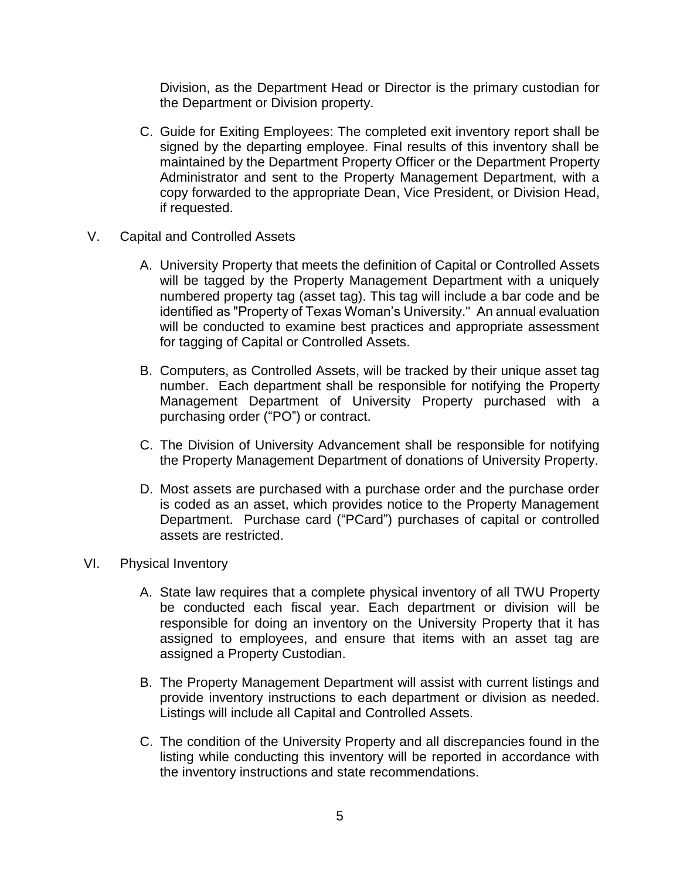Division, as the Department Head or Director is the primary custodian for the Department or Division property.

- C. Guide for Exiting Employees: The completed exit inventory report shall be signed by the departing employee. Final results of this inventory shall be maintained by the Department Property Officer or the Department Property Administrator and sent to the Property Management Department, with a copy forwarded to the appropriate Dean, Vice President, or Division Head, if requested.
- V. Capital and Controlled Assets
	- A. University Property that meets the definition of Capital or Controlled Assets will be tagged by the Property Management Department with a uniquely numbered property tag (asset tag). This tag will include a bar code and be identified as "Property of Texas Woman's University." An annual evaluation will be conducted to examine best practices and appropriate assessment for tagging of Capital or Controlled Assets.
	- B. Computers, as Controlled Assets, will be tracked by their unique asset tag number. Each department shall be responsible for notifying the Property Management Department of University Property purchased with a purchasing order ("PO") or contract.
	- C. The Division of University Advancement shall be responsible for notifying the Property Management Department of donations of University Property.
	- D. Most assets are purchased with a purchase order and the purchase order is coded as an asset, which provides notice to the Property Management Department. Purchase card ("PCard") purchases of capital or controlled assets are restricted.
- VI. Physical Inventory
	- A. State law requires that a complete physical inventory of all TWU Property be conducted each fiscal year. Each department or division will be responsible for doing an inventory on the University Property that it has assigned to employees, and ensure that items with an asset tag are assigned a Property Custodian.
	- B. The Property Management Department will assist with current listings and provide inventory instructions to each department or division as needed. Listings will include all Capital and Controlled Assets.
	- C. The condition of the University Property and all discrepancies found in the listing while conducting this inventory will be reported in accordance with the inventory instructions and state recommendations.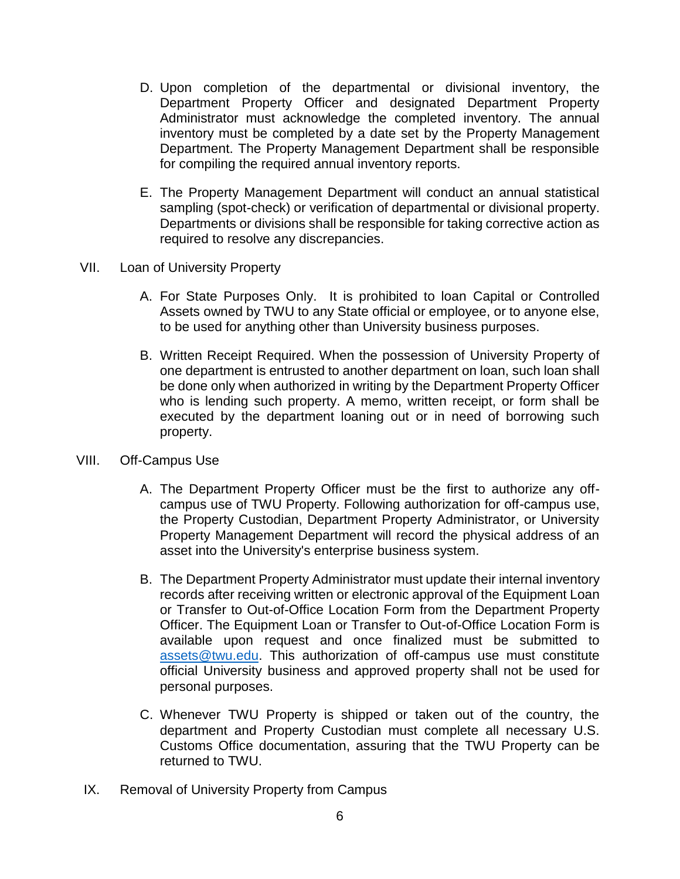- D. Upon completion of the departmental or divisional inventory, the Department Property Officer and designated Department Property Administrator must acknowledge the completed inventory. The annual inventory must be completed by a date set by the Property Management Department. The Property Management Department shall be responsible for compiling the required annual inventory reports.
- E. The Property Management Department will conduct an annual statistical sampling (spot-check) or verification of departmental or divisional property. Departments or divisions shall be responsible for taking corrective action as required to resolve any discrepancies.
- VII. Loan of University Property
	- A. For State Purposes Only. It is prohibited to loan Capital or Controlled Assets owned by TWU to any State official or employee, or to anyone else, to be used for anything other than University business purposes.
	- B. Written Receipt Required. When the possession of University Property of one department is entrusted to another department on loan, such loan shall be done only when authorized in writing by the Department Property Officer who is lending such property. A memo, written receipt, or form shall be executed by the department loaning out or in need of borrowing such property.
- VIII. Off-Campus Use
	- A. The Department Property Officer must be the first to authorize any offcampus use of TWU Property. Following authorization for off-campus use, the Property Custodian, Department Property Administrator, or University Property Management Department will record the physical address of an asset into the University's enterprise business system.
	- B. The Department Property Administrator must update their internal inventory records after receiving written or electronic approval of the Equipment Loan or Transfer to Out-of-Office Location Form from the Department Property Officer. The Equipment Loan or Transfer to Out-of-Office Location Form is available upon request and once finalized must be submitted to [assets@twu.edu.](mailto:assets@twu.edu) This authorization of off-campus use must constitute official University business and approved property shall not be used for personal purposes.
	- C. Whenever TWU Property is shipped or taken out of the country, the department and Property Custodian must complete all necessary U.S. Customs Office documentation, assuring that the TWU Property can be returned to TWU.
	- IX. Removal of University Property from Campus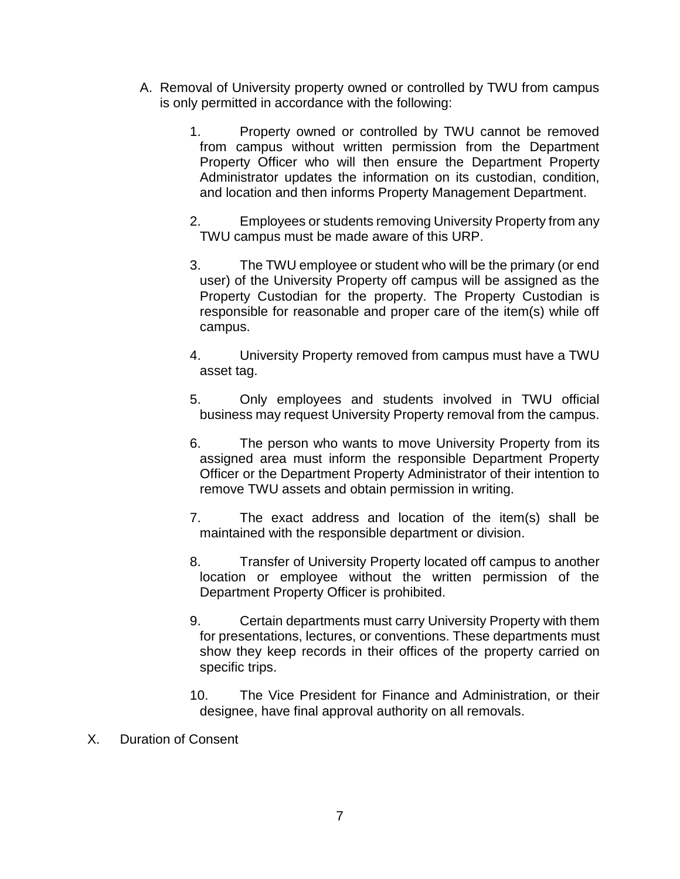- A. Removal of University property owned or controlled by TWU from campus is only permitted in accordance with the following:
	- 1. Property owned or controlled by TWU cannot be removed from campus without written permission from the Department Property Officer who will then ensure the Department Property Administrator updates the information on its custodian, condition, and location and then informs Property Management Department.
	- 2. Employees or students removing University Property from any TWU campus must be made aware of this URP.
	- 3. The TWU employee or student who will be the primary (or end user) of the University Property off campus will be assigned as the Property Custodian for the property. The Property Custodian is responsible for reasonable and proper care of the item(s) while off campus.
	- 4. University Property removed from campus must have a TWU asset tag.
	- 5. Only employees and students involved in TWU official business may request University Property removal from the campus.
	- 6. The person who wants to move University Property from its assigned area must inform the responsible Department Property Officer or the Department Property Administrator of their intention to remove TWU assets and obtain permission in writing.
	- 7. The exact address and location of the item(s) shall be maintained with the responsible department or division.
	- 8. Transfer of University Property located off campus to another location or employee without the written permission of the Department Property Officer is prohibited.
	- 9. Certain departments must carry University Property with them for presentations, lectures, or conventions. These departments must show they keep records in their offices of the property carried on specific trips.
	- 10. The Vice President for Finance and Administration, or their designee, have final approval authority on all removals.
- X. Duration of Consent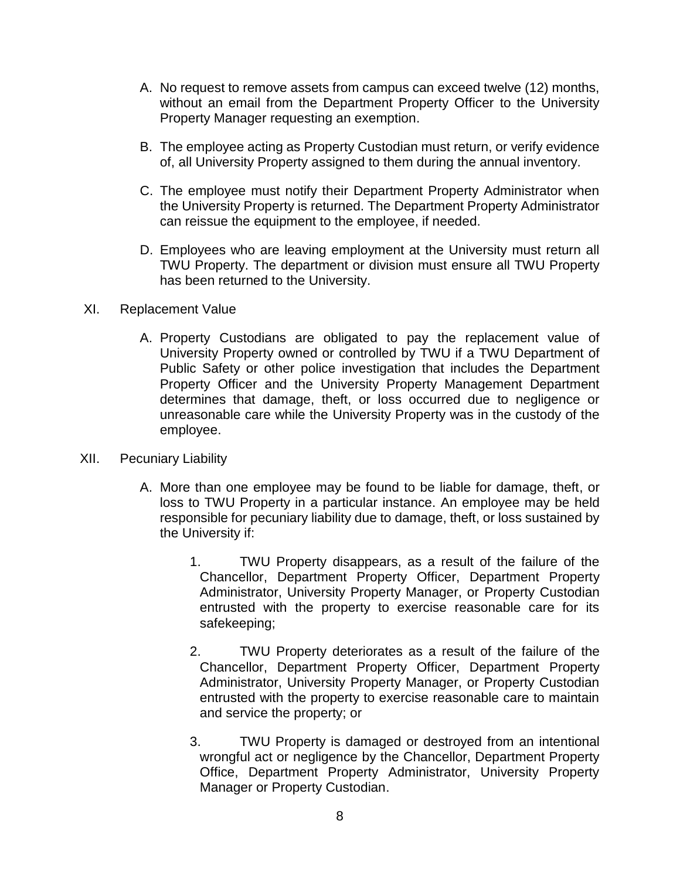- A. No request to remove assets from campus can exceed twelve (12) months, without an email from the Department Property Officer to the University Property Manager requesting an exemption.
- B. The employee acting as Property Custodian must return, or verify evidence of, all University Property assigned to them during the annual inventory.
- C. The employee must notify their Department Property Administrator when the University Property is returned. The Department Property Administrator can reissue the equipment to the employee, if needed.
- D. Employees who are leaving employment at the University must return all TWU Property. The department or division must ensure all TWU Property has been returned to the University.
- XI. Replacement Value
	- A. Property Custodians are obligated to pay the replacement value of University Property owned or controlled by TWU if a TWU Department of Public Safety or other police investigation that includes the Department Property Officer and the University Property Management Department determines that damage, theft, or loss occurred due to negligence or unreasonable care while the University Property was in the custody of the employee.
- XII. Pecuniary Liability
	- A. More than one employee may be found to be liable for damage, theft, or loss to TWU Property in a particular instance. An employee may be held responsible for pecuniary liability due to damage, theft, or loss sustained by the University if:
		- 1. TWU Property disappears, as a result of the failure of the Chancellor, Department Property Officer, Department Property Administrator, University Property Manager, or Property Custodian entrusted with the property to exercise reasonable care for its safekeeping;
		- 2. TWU Property deteriorates as a result of the failure of the Chancellor, Department Property Officer, Department Property Administrator, University Property Manager, or Property Custodian entrusted with the property to exercise reasonable care to maintain and service the property; or
		- 3. TWU Property is damaged or destroyed from an intentional wrongful act or negligence by the Chancellor, Department Property Office, Department Property Administrator, University Property Manager or Property Custodian.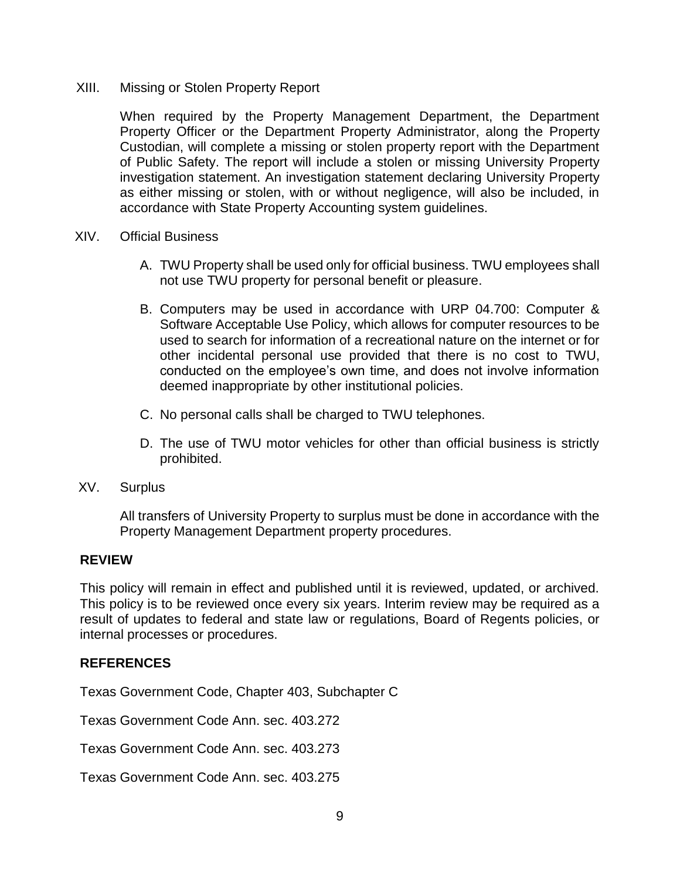#### XIII. Missing or Stolen Property Report

When required by the Property Management Department, the Department Property Officer or the Department Property Administrator, along the Property Custodian, will complete a missing or stolen property report with the Department of Public Safety. The report will include a stolen or missing University Property investigation statement. An investigation statement declaring University Property as either missing or stolen, with or without negligence, will also be included, in accordance with State Property Accounting system guidelines.

- XIV. Official Business
	- A. TWU Property shall be used only for official business. TWU employees shall not use TWU property for personal benefit or pleasure.
	- B. Computers may be used in accordance with URP 04.700: Computer & Software Acceptable Use Policy, which allows for computer resources to be used to search for information of a recreational nature on the internet or for other incidental personal use provided that there is no cost to TWU, conducted on the employee's own time, and does not involve information deemed inappropriate by other institutional policies.
	- C. No personal calls shall be charged to TWU telephones.
	- D. The use of TWU motor vehicles for other than official business is strictly prohibited.
- XV. Surplus

All transfers of University Property to surplus must be done in accordance with the Property Management Department property procedures.

### **REVIEW**

This policy will remain in effect and published until it is reviewed, updated, or archived. This policy is to be reviewed once every six years. Interim review may be required as a result of updates to federal and state law or regulations, Board of Regents policies, or internal processes or procedures.

### **REFERENCES**

Texas Government Code, Chapter 403, Subchapter C

Texas Government Code Ann. sec. 403.272

Texas Government Code Ann. sec. 403.273

Texas Government Code Ann. sec. 403.275